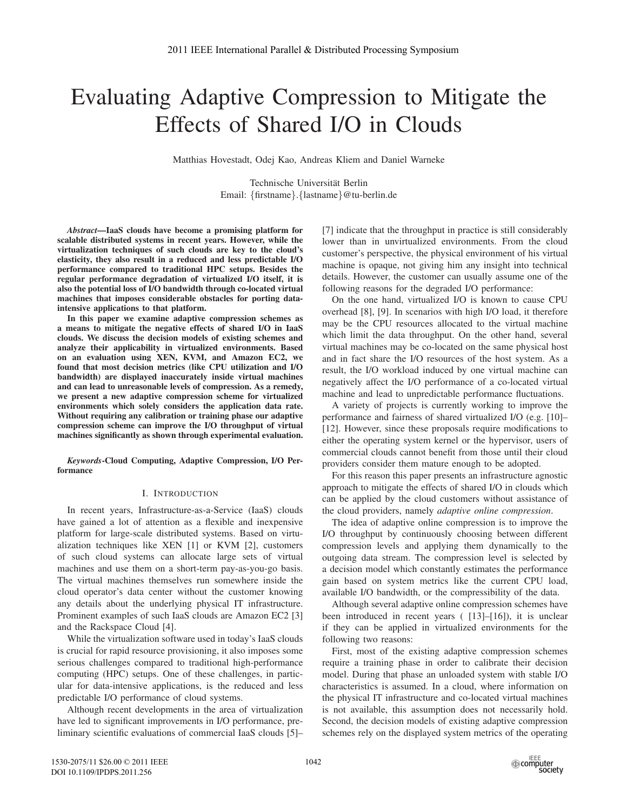# Evaluating Adaptive Compression to Mitigate the Effects of Shared I/O in Clouds

Matthias Hovestadt, Odej Kao, Andreas Kliem and Daniel Warneke

Technische Universität Berlin Email: {firstname}.{lastname}@tu-berlin.de

*Abstract*—IaaS clouds have become a promising platform for scalable distributed systems in recent years. However, while the virtualization techniques of such clouds are key to the cloud's elasticity, they also result in a reduced and less predictable I/O performance compared to traditional HPC setups. Besides the regular performance degradation of virtualized I/O itself, it is also the potential loss of I/O bandwidth through co-located virtual machines that imposes considerable obstacles for porting dataintensive applications to that platform.

In this paper we examine adaptive compression schemes as a means to mitigate the negative effects of shared I/O in IaaS clouds. We discuss the decision models of existing schemes and analyze their applicability in virtualized environments. Based on an evaluation using XEN, KVM, and Amazon EC2, we found that most decision metrics (like CPU utilization and I/O bandwidth) are displayed inaccurately inside virtual machines and can lead to unreasonable levels of compression. As a remedy, we present a new adaptive compression scheme for virtualized environments which solely considers the application data rate. Without requiring any calibration or training phase our adaptive compression scheme can improve the I/O throughput of virtual machines significantly as shown through experimental evaluation.

*Keywords*-Cloud Computing, Adaptive Compression, I/O Performance

#### I. INTRODUCTION

In recent years, Infrastructure-as-a-Service (IaaS) clouds have gained a lot of attention as a flexible and inexpensive platform for large-scale distributed systems. Based on virtualization techniques like XEN [1] or KVM [2], customers of such cloud systems can allocate large sets of virtual machines and use them on a short-term pay-as-you-go basis. The virtual machines themselves run somewhere inside the cloud operator's data center without the customer knowing any details about the underlying physical IT infrastructure. Prominent examples of such IaaS clouds are Amazon EC2 [3] and the Rackspace Cloud [4].

While the virtualization software used in today's IaaS clouds is crucial for rapid resource provisioning, it also imposes some serious challenges compared to traditional high-performance computing (HPC) setups. One of these challenges, in particular for data-intensive applications, is the reduced and less predictable I/O performance of cloud systems.

Although recent developments in the area of virtualization have led to significant improvements in I/O performance, preliminary scientific evaluations of commercial IaaS clouds [5]–

[7] indicate that the throughput in practice is still considerably lower than in unvirtualized environments. From the cloud customer's perspective, the physical environment of his virtual machine is opaque, not giving him any insight into technical details. However, the customer can usually assume one of the following reasons for the degraded I/O performance:

On the one hand, virtualized I/O is known to cause CPU overhead [8], [9]. In scenarios with high I/O load, it therefore may be the CPU resources allocated to the virtual machine which limit the data throughput. On the other hand, several virtual machines may be co-located on the same physical host and in fact share the I/O resources of the host system. As a result, the I/O workload induced by one virtual machine can negatively affect the I/O performance of a co-located virtual machine and lead to unpredictable performance fluctuations.

A variety of projects is currently working to improve the performance and fairness of shared virtualized I/O (e.g. [10]– [12]. However, since these proposals require modifications to either the operating system kernel or the hypervisor, users of commercial clouds cannot benefit from those until their cloud providers consider them mature enough to be adopted.

For this reason this paper presents an infrastructure agnostic approach to mitigate the effects of shared I/O in clouds which can be applied by the cloud customers without assistance of the cloud providers, namely *adaptive online compression*.

The idea of adaptive online compression is to improve the I/O throughput by continuously choosing between different compression levels and applying them dynamically to the outgoing data stream. The compression level is selected by a decision model which constantly estimates the performance gain based on system metrics like the current CPU load, available I/O bandwidth, or the compressibility of the data.

Although several adaptive online compression schemes have been introduced in recent years ( [13]–[16]), it is unclear if they can be applied in virtualized environments for the following two reasons:

First, most of the existing adaptive compression schemes require a training phase in order to calibrate their decision model. During that phase an unloaded system with stable I/O characteristics is assumed. In a cloud, where information on the physical IT infrastructure and co-located virtual machines is not available, this assumption does not necessarily hold. Second, the decision models of existing adaptive compression schemes rely on the displayed system metrics of the operating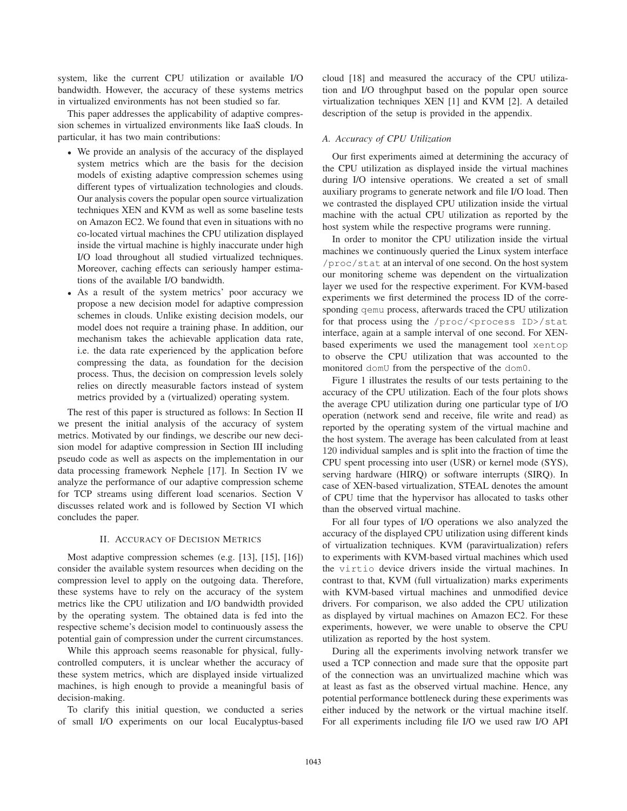system, like the current CPU utilization or available I/O bandwidth. However, the accuracy of these systems metrics in virtualized environments has not been studied so far.

This paper addresses the applicability of adaptive compression schemes in virtualized environments like IaaS clouds. In particular, it has two main contributions:

- We provide an analysis of the accuracy of the displayed system metrics which are the basis for the decision models of existing adaptive compression schemes using different types of virtualization technologies and clouds. Our analysis covers the popular open source virtualization techniques XEN and KVM as well as some baseline tests on Amazon EC2. We found that even in situations with no co-located virtual machines the CPU utilization displayed inside the virtual machine is highly inaccurate under high I/O load throughout all studied virtualized techniques. Moreover, caching effects can seriously hamper estimations of the available I/O bandwidth.
- As a result of the system metrics' poor accuracy we propose a new decision model for adaptive compression schemes in clouds. Unlike existing decision models, our model does not require a training phase. In addition, our mechanism takes the achievable application data rate, i.e. the data rate experienced by the application before compressing the data, as foundation for the decision process. Thus, the decision on compression levels solely relies on directly measurable factors instead of system metrics provided by a (virtualized) operating system.

The rest of this paper is structured as follows: In Section II we present the initial analysis of the accuracy of system metrics. Motivated by our findings, we describe our new decision model for adaptive compression in Section III including pseudo code as well as aspects on the implementation in our data processing framework Nephele [17]. In Section IV we analyze the performance of our adaptive compression scheme for TCP streams using different load scenarios. Section V discusses related work and is followed by Section VI which concludes the paper.

#### II. ACCURACY OF DECISION METRICS

Most adaptive compression schemes (e.g. [13], [15], [16]) consider the available system resources when deciding on the compression level to apply on the outgoing data. Therefore, these systems have to rely on the accuracy of the system metrics like the CPU utilization and I/O bandwidth provided by the operating system. The obtained data is fed into the respective scheme's decision model to continuously assess the potential gain of compression under the current circumstances.

While this approach seems reasonable for physical, fullycontrolled computers, it is unclear whether the accuracy of these system metrics, which are displayed inside virtualized machines, is high enough to provide a meaningful basis of decision-making.

To clarify this initial question, we conducted a series of small I/O experiments on our local Eucalyptus-based

cloud [18] and measured the accuracy of the CPU utilization and I/O throughput based on the popular open source virtualization techniques XEN [1] and KVM [2]. A detailed description of the setup is provided in the appendix.

#### *A. Accuracy of CPU Utilization*

Our first experiments aimed at determining the accuracy of the CPU utilization as displayed inside the virtual machines during I/O intensive operations. We created a set of small auxiliary programs to generate network and file I/O load. Then we contrasted the displayed CPU utilization inside the virtual machine with the actual CPU utilization as reported by the host system while the respective programs were running.

In order to monitor the CPU utilization inside the virtual machines we continuously queried the Linux system interface /proc/stat at an interval of one second. On the host system our monitoring scheme was dependent on the virtualization layer we used for the respective experiment. For KVM-based experiments we first determined the process ID of the corresponding qemu process, afterwards traced the CPU utilization for that process using the /proc/<process ID>/stat interface, again at a sample interval of one second. For XENbased experiments we used the management tool xentop to observe the CPU utilization that was accounted to the monitored domU from the perspective of the dom0.

Figure 1 illustrates the results of our tests pertaining to the accuracy of the CPU utilization. Each of the four plots shows the average CPU utilization during one particular type of I/O operation (network send and receive, file write and read) as reported by the operating system of the virtual machine and the host system. The average has been calculated from at least 120 individual samples and is split into the fraction of time the CPU spent processing into user (USR) or kernel mode (SYS), serving hardware (HIRQ) or software interrupts (SIRQ). In case of XEN-based virtualization, STEAL denotes the amount of CPU time that the hypervisor has allocated to tasks other than the observed virtual machine.

For all four types of I/O operations we also analyzed the accuracy of the displayed CPU utilization using different kinds of virtualization techniques. KVM (paravirtualization) refers to experiments with KVM-based virtual machines which used the virtio device drivers inside the virtual machines. In contrast to that, KVM (full virtualization) marks experiments with KVM-based virtual machines and unmodified device drivers. For comparison, we also added the CPU utilization as displayed by virtual machines on Amazon EC2. For these experiments, however, we were unable to observe the CPU utilization as reported by the host system.

During all the experiments involving network transfer we used a TCP connection and made sure that the opposite part of the connection was an unvirtualized machine which was at least as fast as the observed virtual machine. Hence, any potential performance bottleneck during these experiments was either induced by the network or the virtual machine itself. For all experiments including file I/O we used raw I/O API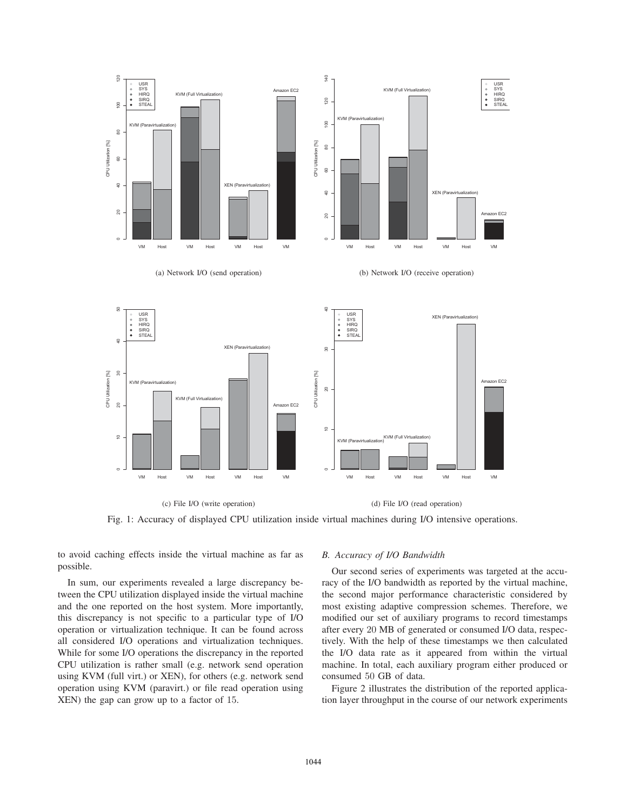

Fig. 1: Accuracy of displayed CPU utilization inside virtual machines during I/O intensive operations.

to avoid caching effects inside the virtual machine as far as possible.

In sum, our experiments revealed a large discrepancy between the CPU utilization displayed inside the virtual machine and the one reported on the host system. More importantly, this discrepancy is not specific to a particular type of I/O operation or virtualization technique. It can be found across all considered I/O operations and virtualization techniques. While for some I/O operations the discrepancy in the reported CPU utilization is rather small (e.g. network send operation using KVM (full virt.) or XEN), for others (e.g. network send operation using KVM (paravirt.) or file read operation using XEN) the gap can grow up to a factor of 15.

#### *B. Accuracy of I/O Bandwidth*

Our second series of experiments was targeted at the accuracy of the I/O bandwidth as reported by the virtual machine, the second major performance characteristic considered by most existing adaptive compression schemes. Therefore, we modified our set of auxiliary programs to record timestamps after every 20 MB of generated or consumed I/O data, respectively. With the help of these timestamps we then calculated the I/O data rate as it appeared from within the virtual machine. In total, each auxiliary program either produced or consumed 50 GB of data.

Figure 2 illustrates the distribution of the reported application layer throughput in the course of our network experiments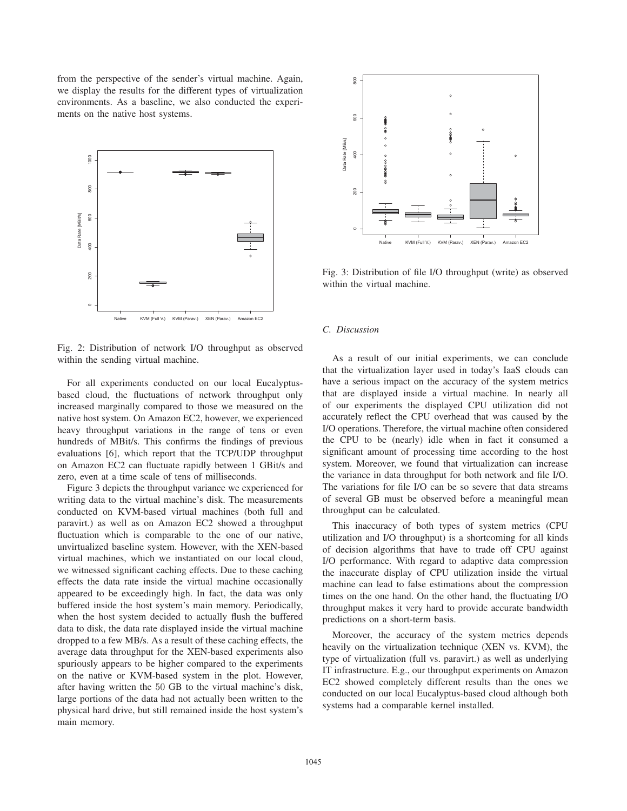from the perspective of the sender's virtual machine. Again, we display the results for the different types of virtualization environments. As a baseline, we also conducted the experiments on the native host systems.



Fig. 2: Distribution of network I/O throughput as observed within the sending virtual machine.

For all experiments conducted on our local Eucalyptusbased cloud, the fluctuations of network throughput only increased marginally compared to those we measured on the native host system. On Amazon EC2, however, we experienced heavy throughput variations in the range of tens or even hundreds of MBit/s. This confirms the findings of previous evaluations [6], which report that the TCP/UDP throughput on Amazon EC2 can fluctuate rapidly between 1 GBit/s and zero, even at a time scale of tens of milliseconds.

Figure 3 depicts the throughput variance we experienced for writing data to the virtual machine's disk. The measurements conducted on KVM-based virtual machines (both full and paravirt.) as well as on Amazon EC2 showed a throughput fluctuation which is comparable to the one of our native, unvirtualized baseline system. However, with the XEN-based virtual machines, which we instantiated on our local cloud, we witnessed significant caching effects. Due to these caching effects the data rate inside the virtual machine occasionally appeared to be exceedingly high. In fact, the data was only buffered inside the host system's main memory. Periodically, when the host system decided to actually flush the buffered data to disk, the data rate displayed inside the virtual machine dropped to a few MB/s. As a result of these caching effects, the average data throughput for the XEN-based experiments also spuriously appears to be higher compared to the experiments on the native or KVM-based system in the plot. However, after having written the 50 GB to the virtual machine's disk, large portions of the data had not actually been written to the physical hard drive, but still remained inside the host system's main memory.



Fig. 3: Distribution of file I/O throughput (write) as observed within the virtual machine.

#### *C. Discussion*

As a result of our initial experiments, we can conclude that the virtualization layer used in today's IaaS clouds can have a serious impact on the accuracy of the system metrics that are displayed inside a virtual machine. In nearly all of our experiments the displayed CPU utilization did not accurately reflect the CPU overhead that was caused by the I/O operations. Therefore, the virtual machine often considered the CPU to be (nearly) idle when in fact it consumed a significant amount of processing time according to the host system. Moreover, we found that virtualization can increase the variance in data throughput for both network and file I/O. The variations for file I/O can be so severe that data streams of several GB must be observed before a meaningful mean throughput can be calculated.

This inaccuracy of both types of system metrics (CPU utilization and I/O throughput) is a shortcoming for all kinds of decision algorithms that have to trade off CPU against I/O performance. With regard to adaptive data compression the inaccurate display of CPU utilization inside the virtual machine can lead to false estimations about the compression times on the one hand. On the other hand, the fluctuating I/O throughput makes it very hard to provide accurate bandwidth predictions on a short-term basis.

Moreover, the accuracy of the system metrics depends heavily on the virtualization technique (XEN vs. KVM), the type of virtualization (full vs. paravirt.) as well as underlying IT infrastructure. E.g., our throughput experiments on Amazon EC2 showed completely different results than the ones we conducted on our local Eucalyptus-based cloud although both systems had a comparable kernel installed.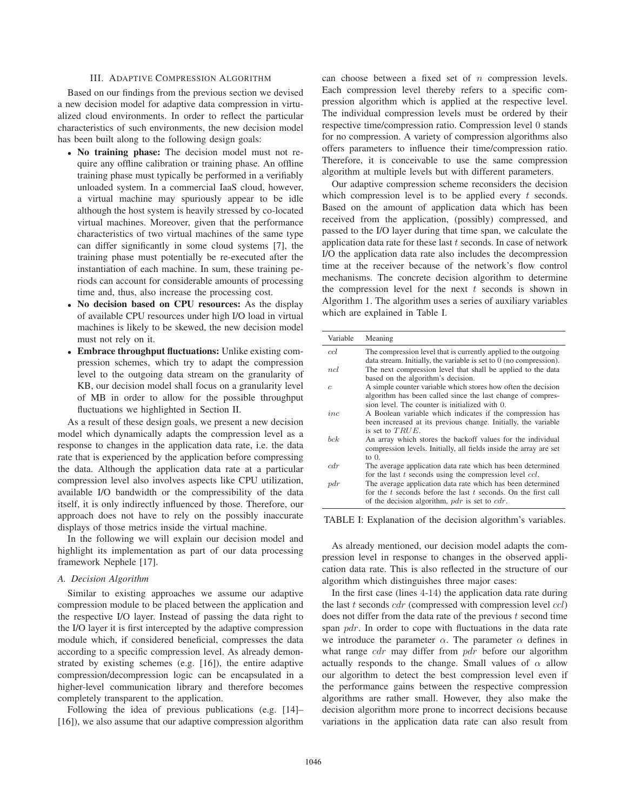## III. ADAPTIVE COMPRESSION ALGORITHM

Based on our findings from the previous section we devised a new decision model for adaptive data compression in virtualized cloud environments. In order to reflect the particular characteristics of such environments, the new decision model has been built along to the following design goals:

- No training phase: The decision model must not require any offline calibration or training phase. An offline training phase must typically be performed in a verifiably unloaded system. In a commercial IaaS cloud, however, a virtual machine may spuriously appear to be idle although the host system is heavily stressed by co-located virtual machines. Moreover, given that the performance characteristics of two virtual machines of the same type can differ significantly in some cloud systems [7], the training phase must potentially be re-executed after the instantiation of each machine. In sum, these training periods can account for considerable amounts of processing time and, thus, also increase the processing cost.
- No decision based on CPU resources: As the display of available CPU resources under high I/O load in virtual machines is likely to be skewed, the new decision model must not rely on it.
- Embrace throughput fluctuations: Unlike existing compression schemes, which try to adapt the compression level to the outgoing data stream on the granularity of KB, our decision model shall focus on a granularity level of MB in order to allow for the possible throughput fluctuations we highlighted in Section II.

As a result of these design goals, we present a new decision model which dynamically adapts the compression level as a response to changes in the application data rate, i.e. the data rate that is experienced by the application before compressing the data. Although the application data rate at a particular compression level also involves aspects like CPU utilization, available I/O bandwidth or the compressibility of the data itself, it is only indirectly influenced by those. Therefore, our approach does not have to rely on the possibly inaccurate displays of those metrics inside the virtual machine.

In the following we will explain our decision model and highlight its implementation as part of our data processing framework Nephele [17].

#### *A. Decision Algorithm*

Similar to existing approaches we assume our adaptive compression module to be placed between the application and the respective I/O layer. Instead of passing the data right to the I/O layer it is first intercepted by the adaptive compression module which, if considered beneficial, compresses the data according to a specific compression level. As already demonstrated by existing schemes (e.g. [16]), the entire adaptive compression/decompression logic can be encapsulated in a higher-level communication library and therefore becomes completely transparent to the application.

Following the idea of previous publications (e.g. [14]– [16]), we also assume that our adaptive compression algorithm can choose between a fixed set of  $n$  compression levels. Each compression level thereby refers to a specific compression algorithm which is applied at the respective level. The individual compression levels must be ordered by their respective time/compression ratio. Compression level 0 stands for no compression. A variety of compression algorithms also offers parameters to influence their time/compression ratio. Therefore, it is conceivable to use the same compression algorithm at multiple levels but with different parameters.

Our adaptive compression scheme reconsiders the decision which compression level is to be applied every  $t$  seconds. Based on the amount of application data which has been received from the application, (possibly) compressed, and passed to the I/O layer during that time span, we calculate the application data rate for these last  $t$  seconds. In case of network I/O the application data rate also includes the decompression time at the receiver because of the network's flow control mechanisms. The concrete decision algorithm to determine the compression level for the next  $t$  seconds is shown in Algorithm 1. The algorithm uses a series of auxiliary variables which are explained in Table I.

| Variable        | Meaning                                                                                                                                                                                             |
|-----------------|-----------------------------------------------------------------------------------------------------------------------------------------------------------------------------------------------------|
| ccl             | The compression level that is currently applied to the outgoing<br>data stream. Initially, the variable is set to $0$ (no compression).                                                             |
| ncl             | The next compression level that shall be applied to the data<br>based on the algorithm's decision.                                                                                                  |
| $\mathcal{C}$   | A simple counter variable which stores how often the decision<br>algorithm has been called since the last change of compres-                                                                        |
| inc             | sion level. The counter is initialized with 0.<br>A Boolean variable which indicates if the compression has<br>been increased at its previous change. Initially, the variable<br>is set to $TRUE$ . |
| $_{\emph{bck}}$ | An array which stores the backoff values for the individual<br>compression levels. Initially, all fields inside the array are set<br>to $\theta$ .                                                  |
| cdr             | The average application data rate which has been determined<br>for the last $t$ seconds using the compression level $ccl$ .                                                                         |
| pdr             | The average application data rate which has been determined<br>for the t seconds before the last t seconds. On the first call<br>of the decision algorithm, $pdr$ is set to $cdr$ .                 |

TABLE I: Explanation of the decision algorithm's variables.

As already mentioned, our decision model adapts the compression level in response to changes in the observed application data rate. This is also reflected in the structure of our algorithm which distinguishes three major cases:

In the first case (lines 4-14) the application data rate during the last  $t$  seconds  $cdr$  (compressed with compression level  $ccl$ ) does not differ from the data rate of the previous  $t$  second time span *pdr*. In order to cope with fluctuations in the data rate we introduce the parameter  $\alpha$ . The parameter  $\alpha$  defines in what range  $cdr$  may differ from  $pdr$  before our algorithm actually responds to the change. Small values of  $\alpha$  allow our algorithm to detect the best compression level even if the performance gains between the respective compression algorithms are rather small. However, they also make the decision algorithm more prone to incorrect decisions because variations in the application data rate can also result from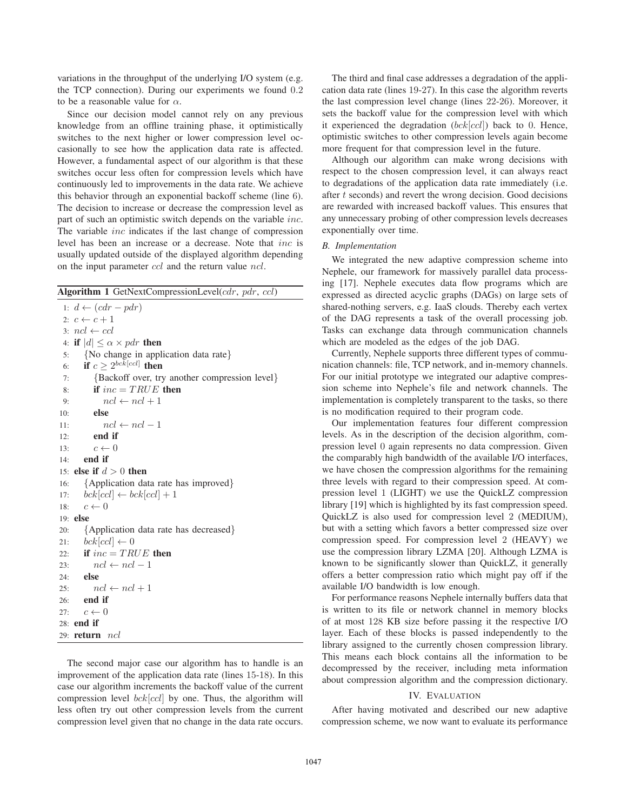variations in the throughput of the underlying I/O system (e.g. the TCP connection). During our experiments we found 0.2 to be a reasonable value for  $\alpha$ .

Since our decision model cannot rely on any previous knowledge from an offline training phase, it optimistically switches to the next higher or lower compression level occasionally to see how the application data rate is affected. However, a fundamental aspect of our algorithm is that these switches occur less often for compression levels which have continuously led to improvements in the data rate. We achieve this behavior through an exponential backoff scheme (line 6). The decision to increase or decrease the compression level as part of such an optimistic switch depends on the variable inc. The variable inc indicates if the last change of compression level has been an increase or a decrease. Note that inc is usually updated outside of the displayed algorithm depending on the input parameter ccl and the return value ncl.

Algorithm 1 GetNextCompressionLevel(cdr, pdr, ccl)

1:  $d \leftarrow (cdr - pdr)$ 2:  $c \leftarrow c + 1$ 3:  $ncl \leftarrow ccl$ 4: if  $|d| \leq \alpha \times pdr$  then 5: {No change in application data rate} 6: if  $c \geq 2^{bck[cel]}$  then 7: {Backoff over, try another compression level} 8: if  $inc = TRUE$  then 9:  $ncl \leftarrow ncl + 1$ 10: else 11:  $ncl \leftarrow ncl - 1$ 12: end if 13:  $c \leftarrow 0$ 14: end if 15: else if  $d > 0$  then 16: {Application data rate has improved} 17:  $bck[cc] \leftarrow bck[cc] + 1$ 18:  $c \leftarrow 0$ 19: else 20: {Application data rate has decreased} 21:  $bck[cc] \leftarrow 0$ 22: if  $inc = TRUE$  then 23:  $ncl \leftarrow ncl - 1$ 24: else 25:  $ncl \leftarrow ncl + 1$ 26: end if 27:  $c \leftarrow 0$ 28: end if 29: return ncl

The second major case our algorithm has to handle is an improvement of the application data rate (lines 15-18). In this case our algorithm increments the backoff value of the current compression level  $bck[cc]$  by one. Thus, the algorithm will less often try out other compression levels from the current compression level given that no change in the data rate occurs.

The third and final case addresses a degradation of the application data rate (lines 19-27). In this case the algorithm reverts the last compression level change (lines 22-26). Moreover, it sets the backoff value for the compression level with which it experienced the degradation  $(bck[cc])$  back to 0. Hence, optimistic switches to other compression levels again become more frequent for that compression level in the future.

Although our algorithm can make wrong decisions with respect to the chosen compression level, it can always react to degradations of the application data rate immediately (i.e. after t seconds) and revert the wrong decision. Good decisions are rewarded with increased backoff values. This ensures that any unnecessary probing of other compression levels decreases exponentially over time.

## *B. Implementation*

We integrated the new adaptive compression scheme into Nephele, our framework for massively parallel data processing [17]. Nephele executes data flow programs which are expressed as directed acyclic graphs (DAGs) on large sets of shared-nothing servers, e.g. IaaS clouds. Thereby each vertex of the DAG represents a task of the overall processing job. Tasks can exchange data through communication channels which are modeled as the edges of the job DAG.

Currently, Nephele supports three different types of communication channels: file, TCP network, and in-memory channels. For our initial prototype we integrated our adaptive compression scheme into Nephele's file and network channels. The implementation is completely transparent to the tasks, so there is no modification required to their program code.

Our implementation features four different compression levels. As in the description of the decision algorithm, compression level 0 again represents no data compression. Given the comparably high bandwidth of the available I/O interfaces, we have chosen the compression algorithms for the remaining three levels with regard to their compression speed. At compression level 1 (LIGHT) we use the QuickLZ compression library [19] which is highlighted by its fast compression speed. QuickLZ is also used for compression level 2 (MEDIUM), but with a setting which favors a better compressed size over compression speed. For compression level 2 (HEAVY) we use the compression library LZMA [20]. Although LZMA is known to be significantly slower than QuickLZ, it generally offers a better compression ratio which might pay off if the available I/O bandwidth is low enough.

For performance reasons Nephele internally buffers data that is written to its file or network channel in memory blocks of at most 128 KB size before passing it the respective I/O layer. Each of these blocks is passed independently to the library assigned to the currently chosen compression library. This means each block contains all the information to be decompressed by the receiver, including meta information about compression algorithm and the compression dictionary.

## IV. EVALUATION

After having motivated and described our new adaptive compression scheme, we now want to evaluate its performance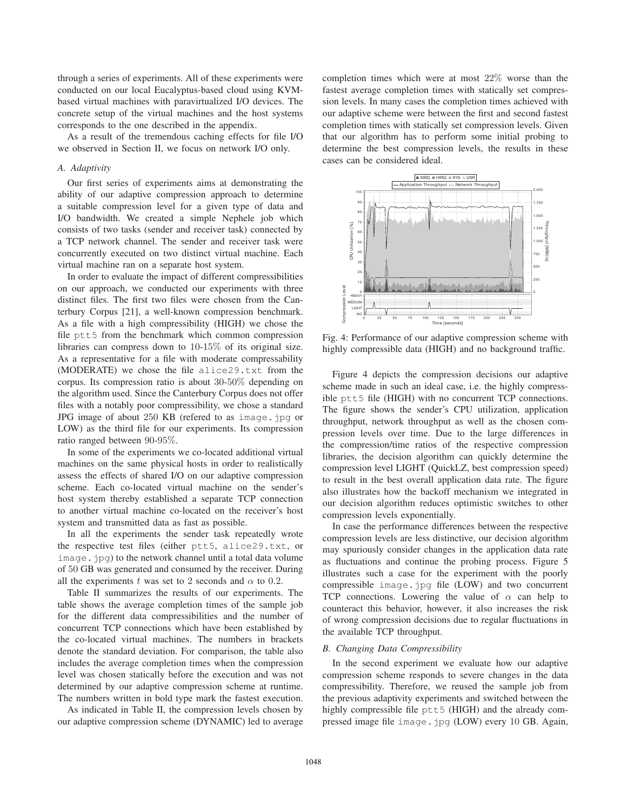through a series of experiments. All of these experiments were conducted on our local Eucalyptus-based cloud using KVMbased virtual machines with paravirtualized I/O devices. The concrete setup of the virtual machines and the host systems corresponds to the one described in the appendix.

As a result of the tremendous caching effects for file I/O we observed in Section II, we focus on network I/O only.

## *A. Adaptivity*

Our first series of experiments aims at demonstrating the ability of our adaptive compression approach to determine a suitable compression level for a given type of data and I/O bandwidth. We created a simple Nephele job which consists of two tasks (sender and receiver task) connected by a TCP network channel. The sender and receiver task were concurrently executed on two distinct virtual machine. Each virtual machine ran on a separate host system.

In order to evaluate the impact of different compressibilities on our approach, we conducted our experiments with three distinct files. The first two files were chosen from the Canterbury Corpus [21], a well-known compression benchmark. As a file with a high compressibility (HIGH) we chose the file ptt5 from the benchmark which common compression libraries can compress down to 10-15% of its original size. As a representative for a file with moderate compressability (MODERATE) we chose the file alice29.txt from the corpus. Its compression ratio is about 30-50% depending on the algorithm used. Since the Canterbury Corpus does not offer files with a notably poor compressibility, we chose a standard JPG image of about 250 KB (refered to as image.jpg or LOW) as the third file for our experiments. Its compression ratio ranged between 90-95%.

In some of the experiments we co-located additional virtual machines on the same physical hosts in order to realistically assess the effects of shared I/O on our adaptive compression scheme. Each co-located virtual machine on the sender's host system thereby established a separate TCP connection to another virtual machine co-located on the receiver's host system and transmitted data as fast as possible.

In all the experiments the sender task repeatedly wrote the respective test files (either ptt5, alice29.txt, or image.jpg) to the network channel until a total data volume of 50 GB was generated and consumed by the receiver. During all the experiments t was set to 2 seconds and  $\alpha$  to 0.2.

Table II summarizes the results of our experiments. The table shows the average completion times of the sample job for the different data compressibilities and the number of concurrent TCP connections which have been established by the co-located virtual machines. The numbers in brackets denote the standard deviation. For comparison, the table also includes the average completion times when the compression level was chosen statically before the execution and was not determined by our adaptive compression scheme at runtime. The numbers written in bold type mark the fastest execution.

As indicated in Table II, the compression levels chosen by our adaptive compression scheme (DYNAMIC) led to average completion times which were at most 22% worse than the fastest average completion times with statically set compression levels. In many cases the completion times achieved with our adaptive scheme were between the first and second fastest completion times with statically set compression levels. Given that our algorithm has to perform some initial probing to determine the best compression levels, the results in these cases can be considered ideal.



Fig. 4: Performance of our adaptive compression scheme with highly compressible data (HIGH) and no background traffic.

Figure 4 depicts the compression decisions our adaptive scheme made in such an ideal case, i.e. the highly compressible ptt5 file (HIGH) with no concurrent TCP connections. The figure shows the sender's CPU utilization, application throughput, network throughput as well as the chosen compression levels over time. Due to the large differences in the compression/time ratios of the respective compression libraries, the decision algorithm can quickly determine the compression level LIGHT (QuickLZ, best compression speed) to result in the best overall application data rate. The figure also illustrates how the backoff mechanism we integrated in our decision algorithm reduces optimistic switches to other compression levels exponentially.

In case the performance differences between the respective compression levels are less distinctive, our decision algorithm may spuriously consider changes in the application data rate as fluctuations and continue the probing process. Figure 5 illustrates such a case for the experiment with the poorly compressible image.jpg file (LOW) and two concurrent TCP connections. Lowering the value of  $\alpha$  can help to counteract this behavior, however, it also increases the risk of wrong compression decisions due to regular fluctuations in the available TCP throughput.

#### *B. Changing Data Compressibility*

In the second experiment we evaluate how our adaptive compression scheme responds to severe changes in the data compressibility. Therefore, we reused the sample job from the previous adaptivity experiments and switched between the highly compressible file ptt5 (HIGH) and the already compressed image file image.jpg (LOW) every 10 GB. Again,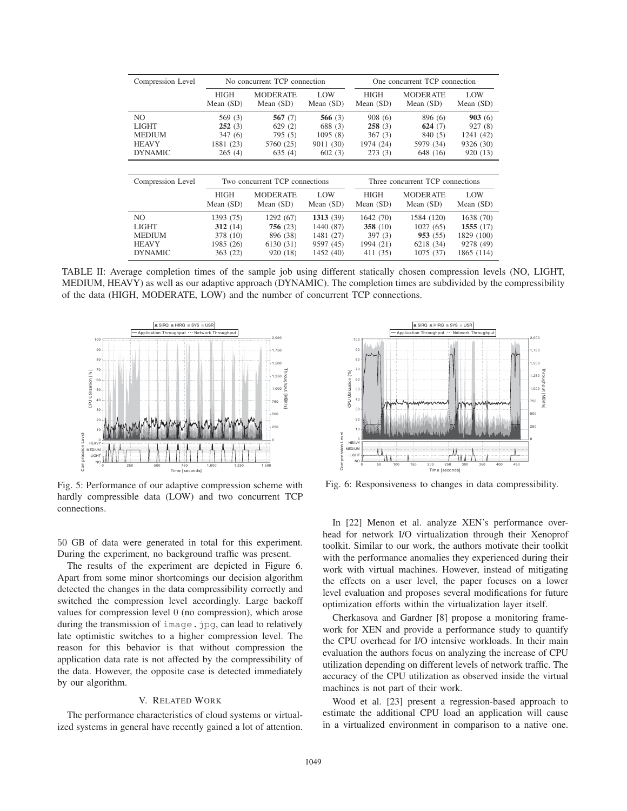| Compression Level                                               | No concurrent TCP connection                       |                                                      |                                                        | One concurrent TCP connection                     |                                                          |                                                        |
|-----------------------------------------------------------------|----------------------------------------------------|------------------------------------------------------|--------------------------------------------------------|---------------------------------------------------|----------------------------------------------------------|--------------------------------------------------------|
|                                                                 | <b>HIGH</b><br>Mean $(SD)$                         | <b>MODERATE</b><br>Mean $(SD)$                       | LOW<br>Mean (SD)                                       | <b>HIGH</b><br>Mean $(SD)$                        | <b>MODERATE</b><br>Mean $(SD)$                           | LOW<br>Mean (SD)                                       |
| NO.<br>LIGHT<br><b>MEDIUM</b><br><b>HEAVY</b><br><b>DYNAMIC</b> | 569 (3)<br>252(3)<br>347(6)<br>1881 (23)<br>265(4) | 567 $(7)$<br>629(2)<br>795(5)<br>5760 (25)<br>635(4) | 566 $(3)$<br>688 (3)<br>1095(8)<br>9011 (30)<br>602(3) | 908(6)<br>258(3)<br>367(3)<br>1974 (24)<br>273(3) | 896 (6)<br>624 $(7)$<br>840 (5)<br>5979 (34)<br>648 (16) | 903(6)<br>927(8)<br>1241 (42)<br>9326 (30)<br>920 (13) |
|                                                                 |                                                    |                                                      |                                                        |                                                   |                                                          |                                                        |
| Compression Level                                               | Two concurrent TCP connections                     |                                                      |                                                        | Three concurrent TCP connections                  |                                                          |                                                        |
|                                                                 | <b>HIGH</b><br>Mean $(SD)$                         | <b>MODERATE</b><br>Mean $(SD)$                       | LOW<br>Mean (SD)                                       | <b>HIGH</b><br>Mean $(SD)$                        | <b>MODERATE</b><br>Mean $(SD)$                           | LOW<br>Mean (SD)                                       |
| NO.<br>LIGHT<br><b>MEDIUM</b>                                   | 1393 (75)<br>312(14)                               | 1292 (67)<br>756(23)                                 | 1313(39)<br>1440 (87)                                  | 1642(70)<br>358 $(10)$                            | 1584 (120)<br>1027(65)                                   | 1638 (70)<br>1555(17)                                  |
| <b>HEAVY</b><br><b>DYNAMIC</b>                                  | 378 (10)<br>1985 (26)<br>363 (22)                  | 896 (38)<br>6130 (31)<br>920 (18)                    | 1481 (27)<br>9597 (45)<br>1452 (40)                    | 397(3)<br>1994 (21)<br>411 (35)                   | 953(55)<br>6218 (34)<br>1075 (37)                        | 1829 (100)<br>9278 (49)<br>1865 (114)                  |

TABLE II: Average completion times of the sample job using different statically chosen compression levels (NO, LIGHT, MEDIUM, HEAVY) as well as our adaptive approach (DYNAMIC). The completion times are subdivided by the compressibility of the data (HIGH, MODERATE, LOW) and the number of concurrent TCP connections.



Fig. 5: Performance of our adaptive compression scheme with hardly compressible data (LOW) and two concurrent TCP connections.

50 GB of data were generated in total for this experiment. During the experiment, no background traffic was present.

The results of the experiment are depicted in Figure 6. Apart from some minor shortcomings our decision algorithm detected the changes in the data compressibility correctly and switched the compression level accordingly. Large backoff values for compression level 0 (no compression), which arose during the transmission of image.jpg, can lead to relatively late optimistic switches to a higher compression level. The reason for this behavior is that without compression the application data rate is not affected by the compressibility of the data. However, the opposite case is detected immediately by our algorithm.

## V. RELATED WORK

The performance characteristics of cloud systems or virtualized systems in general have recently gained a lot of attention.



Fig. 6: Responsiveness to changes in data compressibility.

In [22] Menon et al. analyze XEN's performance overhead for network I/O virtualization through their Xenoprof toolkit. Similar to our work, the authors motivate their toolkit with the performance anomalies they experienced during their work with virtual machines. However, instead of mitigating the effects on a user level, the paper focuses on a lower level evaluation and proposes several modifications for future optimization efforts within the virtualization layer itself.

Cherkasova and Gardner [8] propose a monitoring framework for XEN and provide a performance study to quantify the CPU overhead for I/O intensive workloads. In their main evaluation the authors focus on analyzing the increase of CPU utilization depending on different levels of network traffic. The accuracy of the CPU utilization as observed inside the virtual machines is not part of their work.

Wood et al. [23] present a regression-based approach to estimate the additional CPU load an application will cause in a virtualized environment in comparison to a native one.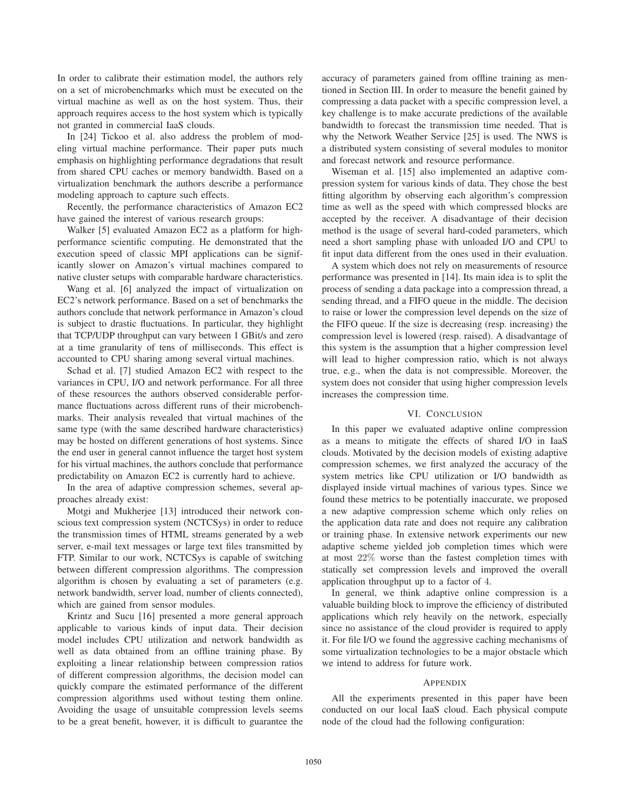In order to calibrate their estimation model, the authors rely on a set of microbenchmarks which must be executed on the virtual machine as well as on the host system. Thus, their approach requires access to the host system which is typically not granted in commercial IaaS clouds.

In [24] Tickoo et al. also address the problem of modeling virtual machine performance. Their paper puts much emphasis on highlighting performance degradations that result from shared CPU caches or memory bandwidth. Based on a virtualization benchmark the authors describe a performance modeling approach to capture such effects.

Recently, the performance characteristics of Amazon EC2 have gained the interest of various research groups:

Walker [5] evaluated Amazon EC2 as a platform for highperformance scientific computing. He demonstrated that the execution speed of classic MPI applications can be significantly slower on Amazon's virtual machines compared to native cluster setups with comparable hardware characteristics.

Wang et al. [6] analyzed the impact of virtualization on EC2's network performance. Based on a set of benchmarks the authors conclude that network performance in Amazon's cloud is subject to drastic fluctuations. In particular, they highlight that TCP/UDP throughput can vary between 1 GBit/s and zero at a time granularity of tens of milliseconds. This effect is accounted to CPU sharing among several virtual machines.

Schad et al. [7] studied Amazon EC2 with respect to the variances in CPU, I/O and network performance. For all three of these resources the authors observed considerable performance fluctuations across different runs of their microbenchmarks. Their analysis revealed that virtual machines of the same type (with the same described hardware characteristics) may be hosted on different generations of host systems. Since the end user in general cannot influence the target host system for his virtual machines, the authors conclude that performance predictability on Amazon EC2 is currently hard to achieve.

In the area of adaptive compression schemes, several approaches already exist:

Motgi and Mukherjee [13] introduced their network conscious text compression system (NCTCSys) in order to reduce the transmission times of HTML streams generated by a web server, e-mail text messages or large text files transmitted by FTP. Similar to our work, NCTCSys is capable of switching between different compression algorithms. The compression algorithm is chosen by evaluating a set of parameters (e.g. network bandwidth, server load, number of clients connected), which are gained from sensor modules.

Krintz and Sucu [16] presented a more general approach applicable to various kinds of input data. Their decision model includes CPU utilization and network bandwidth as well as data obtained from an offline training phase. By exploiting a linear relationship between compression ratios of different compression algorithms, the decision model can quickly compare the estimated performance of the different compression algorithms used without testing them online. Avoiding the usage of unsuitable compression levels seems to be a great benefit, however, it is difficult to guarantee the

accuracy of parameters gained from offline training as mentioned in Section III. In order to measure the benefit gained by compressing a data packet with a specific compression level, a key challenge is to make accurate predictions of the available bandwidth to forecast the transmission time needed. That is why the Network Weather Service [25] is used. The NWS is a distributed system consisting of several modules to monitor and forecast network and resource performance.

Wiseman et al. [15] also implemented an adaptive compression system for various kinds of data. They chose the best fitting algorithm by observing each algorithm's compression time as well as the speed with which compressed blocks are accepted by the receiver. A disadvantage of their decision method is the usage of several hard-coded parameters, which need a short sampling phase with unloaded I/O and CPU to fit input data different from the ones used in their evaluation.

A system which does not rely on measurements of resource performance was presented in [14]. Its main idea is to split the process of sending a data package into a compression thread, a sending thread, and a FIFO queue in the middle. The decision to raise or lower the compression level depends on the size of the FIFO queue. If the size is decreasing (resp. increasing) the compression level is lowered (resp. raised). A disadvantage of this system is the assumption that a higher compression level will lead to higher compression ratio, which is not always true, e.g., when the data is not compressible. Moreover, the system does not consider that using higher compression levels increases the compression time.

## VI. CONCLUSION

In this paper we evaluated adaptive online compression as a means to mitigate the effects of shared I/O in IaaS clouds. Motivated by the decision models of existing adaptive compression schemes, we first analyzed the accuracy of the system metrics like CPU utilization or I/O bandwidth as displayed inside virtual machines of various types. Since we found these metrics to be potentially inaccurate, we proposed a new adaptive compression scheme which only relies on the application data rate and does not require any calibration or training phase. In extensive network experiments our new adaptive scheme yielded job completion times which were at most 22% worse than the fastest completion times with statically set compression levels and improved the overall application throughput up to a factor of 4.

In general, we think adaptive online compression is a valuable building block to improve the efficiency of distributed applications which rely heavily on the network, especially since no assistance of the cloud provider is required to apply it. For file I/O we found the aggressive caching mechanisms of some virtualization technologies to be a major obstacle which we intend to address for future work.

#### APPENDIX

All the experiments presented in this paper have been conducted on our local IaaS cloud. Each physical compute node of the cloud had the following configuration: